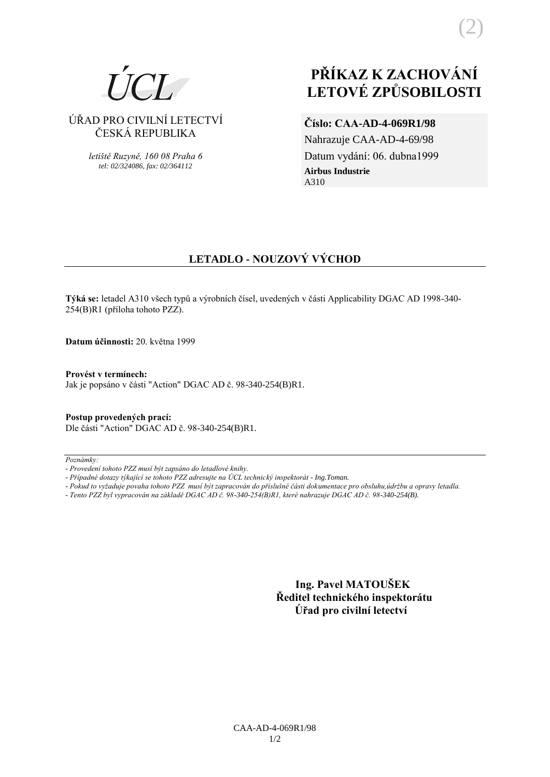# ÚŘAD PRO CIVILNÍ LETECTVÍ ČESKÁ REPUBLIKA

*letiště Ruzyně, 160 08 Praha 6 tel: 02/324086, fax: 02/364112*

# **PŘÍKAZ K ZACHOVÁNÍ LETOVÉ ZPŮSOBILOSTI**

# **Číslo: CAA-AD-4-069R1/98**

Nahrazuje CAA-AD-4-69/98 Datum vydání: 06. dubna1999 **Airbus Industrie** A310

# **LETADLO - NOUZOVÝ VÝCHOD**

**Týká se:** letadel A310 všech typů a výrobních čísel, uvedených v části Applicability DGAC AD 1998-340- 254(B)R1 (příloha tohoto PZZ).

**Datum účinnosti:** 20. května 1999

## **Provést v termínech:**

Jak je popsáno v části "Action" DGAC AD č. 98-340-254(B)R1.

### **Postup provedených prací:** Dle části "Action" DGAC AD č. 98-340-254(B)R1.

*Poznámky:*

 **Ing. Pavel MATOUŠEK Ředitel technického inspektorátu Úřad pro civilní letectví**

*<sup>-</sup> Provedení tohoto PZZ musí být zapsáno do letadlové knihy.*

*<sup>-</sup> Případné dotazy týkající se tohoto PZZ adresujte na ÚCL technický inspektorát - Ing.Toman.*

*<sup>-</sup> Pokud to vyžaduje povaha tohoto PZZ musí být zapracován do příslušné části dokumentace pro obsluhu,údržbu a opravy letadla.*

*<sup>-</sup> Tento PZZ byl vypracován na základě DGAC AD č. 98-340-254(B)R1, které nahrazuje DGAC AD č. 98-340-254(B).*